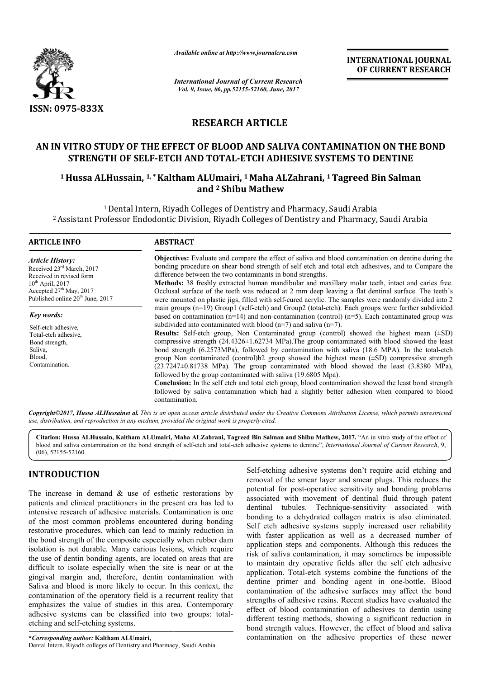

*Available online at http://www.journalcra.com*

*International Journal of Current Research Vol. 9, Issue, 06, pp.52155-52160, June, 2017*

**INTERNATIONAL JOURNAL OF CURRENT RESEARCH** 

# **RESEARCH ARTICLE**

## **AN IN VITRO STUDY OF THE EFFECT OF BLOOD AND SALIVA CONTAMINATION ON THE BOND**  ITRO STUDY OF THE EFFECT OF BLOOD AND SALIVA CONTAMINATION ON TH<br>STRENGTH OF SELF-ETCH AND TOTAL-ETCH ADHESIVE SYSTEMS TO DENTINE

### **1 Hussa ALHussain, 1, \*Kaltham ALUmairi Kaltham ALUmairi, 1 Maha ALZahrani, 1 Tagreed Bin Salman and 2 Shibu Mathew**

<sup>1</sup> Dental Intern, Riyadh Colleges of Dentistry and Pharmacy, Saudi Arabia <sup>1</sup> Dental Intern, Riyadh Colleges of Dentistry and Pharmacy, Saudi Arabia<br>Assistant Professor Endodontic Division, Riyadh Colleges of Dentistry and Pharmacy, Saudi Arabia <sup>2</sup>

| <b>ARTICLE INFO</b>                                                                                | <b>ABSTRACT</b>                                                                                                                                                                                                                                                                                                           |  |  |  |  |  |
|----------------------------------------------------------------------------------------------------|---------------------------------------------------------------------------------------------------------------------------------------------------------------------------------------------------------------------------------------------------------------------------------------------------------------------------|--|--|--|--|--|
| <i><b>Article History:</b></i>                                                                     | Objectives: Evaluate and compare the effect of saliva and blood contamination on dentine during the<br>bonding procedure on shear bond strength of self etch and total etch adhesives, and to Compare the                                                                                                                 |  |  |  |  |  |
| Received 23 <sup>rd</sup> March, 2017<br>Received in revised form                                  | difference between the two contaminants in bond strengths.                                                                                                                                                                                                                                                                |  |  |  |  |  |
| $10^{th}$ April, 2017<br>Accepted $27th$ May, 2017<br>Published online 20 <sup>th</sup> June, 2017 | <b>Methods:</b> 38 freshly extracted human mandibular and maxillary molar teeth, intact and caries free.<br>Occlusal surface of the teeth was reduced at 2 mm deep leaving a flat dentinal surface. The teeth's<br>were mounted on plastic jigs, filled with self-cured acrylic. The samples were randomly divided into 2 |  |  |  |  |  |
| Key words:                                                                                         | main groups $(n=19)$ Group1 (self-etch) and Group2 (total-etch). Each groups were further subdivided<br>based on contamination ( $n=14$ ) and non-contamination (control) ( $n=5$ ). Each contaminated group was                                                                                                          |  |  |  |  |  |
| Self-etch adhesive,                                                                                | subdivided into contaminated with blood $(n=7)$ and saliva $(n=7)$ .                                                                                                                                                                                                                                                      |  |  |  |  |  |
| Total-etch adhesive,                                                                               | <b>Results:</b> Self-etch group, Non Contaminated group (control) showed the highest mean $(\pm SD)$                                                                                                                                                                                                                      |  |  |  |  |  |
| Bond strength,                                                                                     | compressive strength $(24.4326 \pm 1.62734 \text{ MPa})$ . The group contaminated with blood showed the least                                                                                                                                                                                                             |  |  |  |  |  |
| Saliva,                                                                                            | bond strength (6.2573MPa), followed by contamination with saliva (18.6 MPA). In the total-etch                                                                                                                                                                                                                            |  |  |  |  |  |
| Blood,                                                                                             | group Non contaminated (control) $b2$ group showed the highest mean $(\pm SD)$ compressive strength                                                                                                                                                                                                                       |  |  |  |  |  |
| Contamination.                                                                                     | $(23.7247\pm0.81738)$ MPa). The group contaminated with blood showed the least $(3.8380)$ MPa),<br>followed by the group contaminated with saliva (19.6805 Mpa).                                                                                                                                                          |  |  |  |  |  |
|                                                                                                    | <b>Conclusion:</b> In the self etch and total etch group, blood contamination showed the least bond strength<br>followed by saliva contamination which had a slightly better adhesion when compared to blood<br>contamination.                                                                                            |  |  |  |  |  |

*Copyright©2017, Hussa ALHussainet al. This is an open access article distributed under the Creative Commons Att Attribution License, which ribution permits unrestricted use, distribution, and reproduction in any medium, provided the original work is properly cited.*

**Citation: Hussa ALHussain, Kaltham ALUmairi, Maha ALZahrani, Tagreed Bin Salman and Shibu Mathew, 2017.** "An in vitro study of the effect of blood and saliva contamination on the bond strength of self-etch and total-etch adhesive systems to dentine", *International Journal of Current Research*, 9, (06), 52155-52160.

# **INTRODUCTION**

The increase in demand  $\&$  use of esthetic restorations by patients and clinical practitioners in the present era has led to intensive research of adhesive materials. Contamination is one of the most common problems encountered during bonding restorative procedures, which can lead to mainly reduction in the bond strength of the composite especially when rubber dam isolation is not durable. Many carious lesions, which require the use of dentin bonding agents, are located on areas that are restorative procedures, which can lead to mainly reduction in<br>the bond strength of the composite especially when rubber dam<br>isolation is not durable. Many carious lesions, which require<br>the use of dentin bonding agents, ar gingival margin and, therefore, dentin contamination with Saliva and blood is more likely to occur. In this context, the contamination of the operatory field is a recurrent reality that emphasizes the value of studies in this area. Contemporary adhesive systems can be classified into two groups: totaletching and self-etching systems.

**\****Corresponding author:* **Kaltham ALUmairi,** Dental Intern, Riyadh colleges of Dentistry and Pharmacy, Saudi Arabia Arabia.

Self-etching adhesive systems don't require acid etching and removal of the smear layer and smear plugs. This reduces the potential for post-operative sensitivity and bonding problems associated with movement of dentinal fluid through patent dentinal tubules. Technique-sensitivity associated with bonding to a dehydrated collagen matrix is also eliminated. Self etch adhesive systems supply increased user reliability with faster application as well as a decreased number of application steps and components. Although this reduces the risk of saliva contamination, it may sometimes be impossible to maintain dry operative fields after the self etch adhesive application. Total-etch systems combine the functions of the bonding to a dehydrated collagen matrix is also eliminated.<br>Self etch adhesive systems supply increased user reliability<br>with faster application as well as a decreased number of<br>application steps and components. Although t contamination of the adhesive surfaces may affect the bond strengths of adhesive resins. Recent studies have evaluated the effect of blood contamination of adhesives to dentin using different testing methods, showing a significant reduction in bond strength values. However, the effect of blood and saliva contamination on the adhesive properties of these newer ear layer and smear plugs. This reduces the<br>operative sensitivity and bonding problems<br>novement of dentinal fluid through patent<br>Technique-sensitivity associated with the solution of adhesive resins. Recent studies have evaluated the of blood contamination of adhesives to dentin using ent testing methods, showing a significant reduction in strength values. However, the effect of blood a **NAL JOURNAL**<br> **NAL JOURNAL**<br> **NAL JOURNAL**<br> **NT RESEARCH**<br> **NT RESEARCH**<br> **NT RESEARCH**<br> **NT RESEARCH**<br> **NT RESEARCH**<br> **NT RESEARCH**<br> **NT RESEARCH**<br> **NT RESEARCH**<br> **NT RESEARCH**<br> **NT**<br> **I** Arabia<br> **I** Arabia<br> **I** Arabia<br>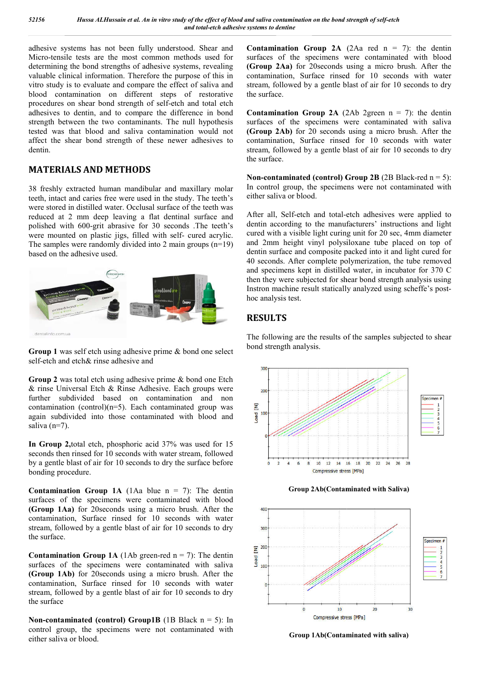adhesive systems has not been fully understood. Shear and Micro-tensile tests are the most common methods used for determining the bond strengths of adhesive systems, revealing valuable clinical information. Therefore the purpose of this in vitro study is to evaluate and compare the effect of saliva and blood contamination on different steps of restorative procedures on shear bond strength of self-etch and total etch adhesives to dentin, and to compare the difference in bond strength between the two contaminants. The null hypothesis tested was that blood and saliva contamination would not affect the shear bond strength of these newer adhesives to dentin. tensile tests are the most common methods used for<br>ining the bond strengths of adhesive systems, revealing<br>le clinical information. Therefore the purpose of this in<br>udy is to evaluate and compare the effect of saliva and<br>c

### **MATERIALS AND METHODS**

38 freshly extracted human mandibular and maxillary molar teeth, intact and caries free were used in the study. The teeth's were stored in distilled water. Occlusal surface of the teeth was reduced at 2 mm deep leaving a flat dentinal surface and polished with 600-grit abrasive for 30 seconds .The teeth's were mounted on plastic jigs, filled with self- cured acrylic. The samples were randomly divided into 2 main groups (n=19) based on the adhesive used.





**Group 2** was total etch using adhesive prime & bond one Etch & rinse Universal Etch & Rinse Adhesive. Each groups were further subdivided based on contamination and non contamination (control) $(n=5)$ . Each contaminated group was again subdivided into those contaminated with blood and saliva (n=7).

**In Group 2,**total etch, phosphoric acid 37% was used for 15 seconds then rinsed for 10 seconds with water stream, followed by a gentle blast of air for 10 seconds to dry the surface before bonding procedure.

**Contamination Group 1A** (1Aa blue  $n = 7$ ): The dentin surfaces of the specimens were contaminated with blood **(Group 1Aa)** for 20seconds using a micro brush. After the contamination, Surface rinsed for 10 seconds with water stream, followed by a gentle blast of air for 10 seconds to dry the surface.

**Contamination Group 1A** (1Ab green-red  $n = 7$ ): The dentin surfaces of the specimens were contaminated with saliva **(Group 1Ab)** for 20seconds using a micro brush. After the contamination, Surface rinsed for 10 seconds with water stream, followed by a gentle blast of air for 10 seconds to dry the surface

**Non-contaminated (control) Group1B** (1B Black  $n = 5$ ): In control group, the specimens were not contaminated with either saliva or blood.

surfaces of the specimens were contaminated with blood **(Group 2Aa)** for 20seconds using a micro brush. After the contamination, Surface rinsed for 10 seconds with water stream, followed by a gentle blast of air for 10 seconds to dry the surface. **on Group 2A** (2Aa red  $n = 7$ ): the dentin<br>the specimens were contaminated with blood<br>**)** for 20 seconds using a micro brush. After the<br>n, Surface rinsed for 10 seconds with water

**Contamination Group 2A** (2Ab 2green  $n = 7$ ): the dentin surfaces of the specimens were contaminated with saliva **(Group 2Ab)** for 20 seconds using a micro brush. After the contamination, Surface rinsed for 10 seconds with water contamination, Surface rinsed for 10 seconds with water stream, followed by a gentle blast of air for 10 seconds to dry the surface. by a gentle blast of air for 10 seconds to dry<br> **Group 2A** (2Ab 2green  $n = 7$ ): the dentin<br>
specimens were contaminated with saliva<br>
20 seconds using a micro brush. After the

**Non-contaminated (control) Group 2B** (2B Black-red  $n = 5$ ): In control group, the specimens were not contaminated with either saliva or blood.

After all, Self-etch and total-etch adhesives were applied to dentin according to the manufacturers' instructions and light cured with a visible light curing unit for 20 sec, 4mm diameter and 2mm height vinyl polysiloxane tube placed on top of dentin surface and composite packed into it and light cured for 40 seconds. After complete polymerization, the tube removed and specimens kept in distilled water, in incubator for 370 C then they were subjected for shear bond strength analysis using Instron machine result statically analyzed using scheffe's posthoc analysis test. Self-etch and total-etch adhesives were applied to<br>ording to the manufacturers' instructions and light<br>a visible light curing unit for 20 sec, 4mm diameter<br>height vinyl polysiloxane tube placed on top of face and composite packed into it and light cured for ls. After complete polymerization, the tube removed mens kept in distilled water, in incubator for 370 C were subjected for shear bond strength analysis using

## **RESULTS**

The following are the results of the samples subjected to shear bond strength analysis.







**Group 1Ab(Contaminated with saliva 1Ab(Contaminated saliva)**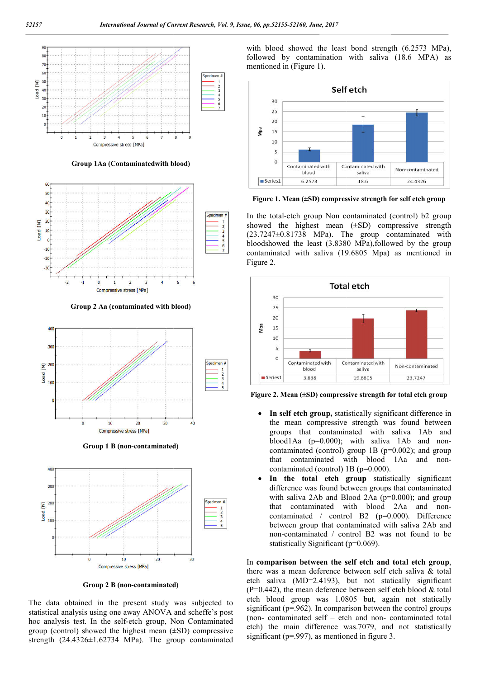

**Group 1Aa (Contaminatedwith blood)**



**Group 2 Aa (contaminated with blood)**



**Group 1 B (non-contaminated)**



**Group 2 B (non-contaminated**

The data obtained in the present study was subjected to statistical analysis using one away ANOVA and scheffe's post hoc analysis test. In the self-etch group, Non Contaminated group (control) showed the highest mean  $(\pm SD)$  compressive strength (24.4326±1.62734 MPa). The group contaminated

followed by contamination with saliva (18.6 MPA) as mentioned in (Figure 1).



**Figure 1. Mean (±SD) compressive strength for self etch group**

In the total-etch group Non contaminated (control) b2 group showed the highest mean  $(\pm SD)$  compressive strength (23.7247±0.81738 MPa). The group contaminated with bloodshowed the least (3.8380 MPa),followed by the group contaminated with saliva (19.6805 Mpa) as mentioned in Figure 2.



**Figure 2. Mean (±SD) compressiv compressive strength for total etch group**

- **In self etch group,** statistically significant difference in the mean compressive strength was found between groups that contaminated with saliva 1Ab and blood1Aa (p=0.000); with saliva 1Ab and non contaminated (control) group 1B (p=0.002); and group contaminated (control) group 1B (p=0.002); and group<br>that contaminated with blood 1Aa and noncontaminated (control) 1B (p=0.000). contaminated **In self etch group,** statistically significant difference in the mean compressive strength was found between groups that contaminated with saliva 1Ab and hon-<br>blood1Aa ( $p=0.000$ ); with saliva 1Ab and non-
- In the total etch group statistically significant difference was found between groups that contaminated with saliva 2Ab and Blood 2Aa (p=0.000); and group with saliva 2Ab and Blood 2Aa  $(p=0.000)$ ; and group that contaminated with blood 2Aa and noncontaminated / control B2 (p=0.000). Difference between group that contaminated with saliva 2Ab and non-contaminated / control B2 was not found to be statistically Significant (p=0.069). aminated / control B2  $(p=0.00)$ <br>veen group that contaminated with<br>contaminated / control B2 was n

In comparison between the self etch and total etch group, there was a mean deference between self etch saliva & total etch saliva (MD=2.4193), but not statically significant  $(P=0.442)$ , the mean deference between self etch blood & total etch blood group was 1.0805 but, again not statically there was a mean deference between self etch saliva & total etch saliva (MD=2.4193), but not statically significant (P=0.442), the mean deference between self etch blood & total etch blood group was 1.0805 but, again not (non-contaminated self  $-$  etch and non-contaminated total etch) the main difference was.7079, and not statistically significant ( $p=0.997$ ), as mentioned in figure 3.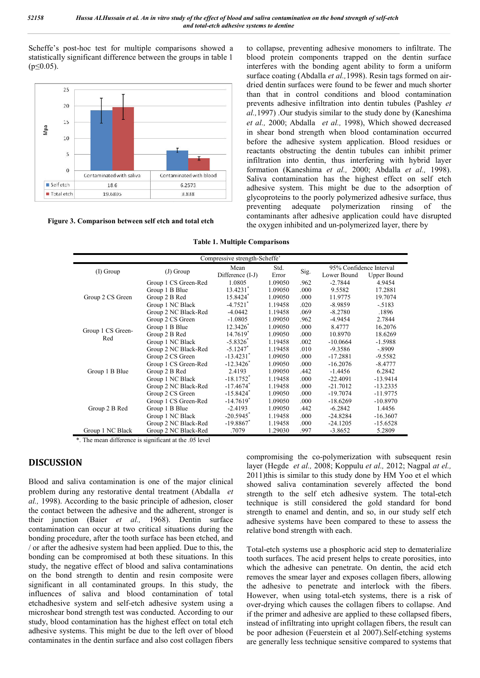Scheffe's post-hoc test for multiple comparisons showed a statistically significant difference between the groups in table 1  $(p \le 0.05)$ .



**Figure 3. Comparison between self etch and total etch**

**Table 1. Multiple Comparisons**

| Contaminated with saliva      | t-hoc test for multiple comparisons showed a<br>inificant difference between the groups in table 1<br>I<br>Contaminated with blood                                                                                                                                                                                                                                                                                                                                                                                                                                  |                                                                                                                                  |                                                                                                                     |                                              |                                                                                 | to collapse, preventing adhesive monomers to infiltrate. The<br>blood protein components trapped on the dentin surface<br>interferes with the bonding agent ability to form a uniform<br>surface coating (Abdalla et al., 1998). Resin tags formed on air-<br>dried dentin surfaces were found to be fewer and much shorter<br>than that in control conditions and blood contamination<br>prevents adhesive infiltration into dentin tubules (Pashley et<br>al., 1997) Our study is similar to the study done by (Kaneshima<br>et al., 2000; Abdalla et al., 1998), Which showed decreased<br>in shear bond strength when blood contamination occurred<br>before the adhesive system application. Blood residues or<br>reactants obstructing the dentin tubules can inhibit primer<br>infiltration into dentin, thus interfering with hybrid layer<br>formation (Kaneshima et al., 2000; Abdalla et al., 1998). |           |
|-------------------------------|---------------------------------------------------------------------------------------------------------------------------------------------------------------------------------------------------------------------------------------------------------------------------------------------------------------------------------------------------------------------------------------------------------------------------------------------------------------------------------------------------------------------------------------------------------------------|----------------------------------------------------------------------------------------------------------------------------------|---------------------------------------------------------------------------------------------------------------------|----------------------------------------------|---------------------------------------------------------------------------------|-----------------------------------------------------------------------------------------------------------------------------------------------------------------------------------------------------------------------------------------------------------------------------------------------------------------------------------------------------------------------------------------------------------------------------------------------------------------------------------------------------------------------------------------------------------------------------------------------------------------------------------------------------------------------------------------------------------------------------------------------------------------------------------------------------------------------------------------------------------------------------------------------------------------|-----------|
| 6.2573<br>18.6                |                                                                                                                                                                                                                                                                                                                                                                                                                                                                                                                                                                     |                                                                                                                                  | Saliva contamination has the highest effect on self etch<br>adhesive system. This might be due to the adsorption of |                                              |                                                                                 |                                                                                                                                                                                                                                                                                                                                                                                                                                                                                                                                                                                                                                                                                                                                                                                                                                                                                                                 |           |
| 19.6805                       | 3.838<br>Comparison between self etch and total etch                                                                                                                                                                                                                                                                                                                                                                                                                                                                                                                | <b>Table 1. Multiple Comparisons</b>                                                                                             | preventing                                                                                                          | adequate                                     | polymerization                                                                  | glycoproteins to the poorly polymerized adhesive surface, thus<br>rinsing<br>contaminants after adhesive application could have disrupted<br>the oxygen inhibited and un-polymerized layer, there by                                                                                                                                                                                                                                                                                                                                                                                                                                                                                                                                                                                                                                                                                                            | of<br>the |
|                               |                                                                                                                                                                                                                                                                                                                                                                                                                                                                                                                                                                     | Compressive strength-Scheffe'<br>Mean                                                                                            | Std.                                                                                                                |                                              | 95% Confidence Interval                                                         |                                                                                                                                                                                                                                                                                                                                                                                                                                                                                                                                                                                                                                                                                                                                                                                                                                                                                                                 |           |
| (I) Group<br>Group 2 CS Green | (J) Group<br>Group 1 CS Green-Red<br>Group 1 B Blue<br>Group 2 B Red<br>Group 1 NC Black<br>Group 2 NC Black-Red                                                                                                                                                                                                                                                                                                                                                                                                                                                    | Difference (I-J)<br>1.0805<br>13.4231<br>15.8424*<br>$-4.7521$ <sup>*</sup><br>$-4.0442$                                         | Error<br>1.09050<br>1.09050<br>1.09050<br>1.19458<br>1.19458                                                        | Sig.<br>.962<br>.000<br>.000<br>.020<br>.069 | Lower Bound<br>$-2.7844$<br>9.5582<br>11.9775<br>$-8.9859$<br>$-8.2780$         | <b>Upper Bound</b><br>4.9454<br>17.2881<br>19.7074<br>$-.5183$<br>.1896                                                                                                                                                                                                                                                                                                                                                                                                                                                                                                                                                                                                                                                                                                                                                                                                                                         |           |
| Group 1 CS Green-<br>Red      | Group 2 CS Green<br>Group 1 B Blue<br>Group 2 B Red<br>Group 1 NC Black<br>Group 2 NC Black-Red                                                                                                                                                                                                                                                                                                                                                                                                                                                                     | $-1.0805$<br>12.3426<br>14.7619*<br>$-5.8326$ <sup>*</sup><br>$-5.1247$ *                                                        | 1.09050<br>1.09050<br>1.09050<br>1.19458<br>1.19458                                                                 | .962<br>.000<br>.000<br>.002<br>.010         | $-4.9454$<br>8.4777<br>10.8970<br>$-10.0664$<br>-9.3586                         | 2.7844<br>16.2076<br>18.6269<br>$-1.5988$<br>$-.8909$                                                                                                                                                                                                                                                                                                                                                                                                                                                                                                                                                                                                                                                                                                                                                                                                                                                           |           |
| Group 1 B Blue                | Group 2 CS Green<br>Group 1 CS Green-Red<br>Group 2 B Red<br>Group 1 NC Black<br>Group 2 NC Black-Red<br>Group 2 CS Green                                                                                                                                                                                                                                                                                                                                                                                                                                           | $-13.4231$ <sup>*</sup><br>$-12.3426$ <sup>*</sup><br>2.4193<br>$-18.1752$ <sup>*</sup><br>$-17.4674$ <sup>*</sup><br>$-15.8424$ | 1.09050<br>1.09050<br>1.09050<br>1.19458<br>1.19458<br>1.09050                                                      | .000<br>.000<br>.442<br>.000<br>.000<br>.000 | $-17.2881$<br>$-16.2076$<br>$-1.4456$<br>$-22.4091$<br>$-21.7012$<br>$-19.7074$ | $-9.5582$<br>$-8.4777$<br>6.2842<br>$-13.9414$<br>$-13.2335$<br>$-11.9775$                                                                                                                                                                                                                                                                                                                                                                                                                                                                                                                                                                                                                                                                                                                                                                                                                                      |           |
| Group 2 B Red                 | Group 1 CS Green-Red<br>Group 1 B Blue<br>Group 1 NC Black<br>Group 2 NC Black-Red                                                                                                                                                                                                                                                                                                                                                                                                                                                                                  | $-14.7619$ <sup>*</sup><br>-2.4193<br>$-20.5945$ <sup>*</sup><br>$-19.8867$<br>.7079                                             | 1.09050<br>1.09050<br>1.19458<br>1.19458                                                                            | .000<br>.442<br>.000<br>.000                 | -18.6269<br>$-6.2842$<br>$-24.8284$<br>$-24.1205$                               | $-10.8970$<br>1.4456<br>$-16.3607$<br>$-15.6528$                                                                                                                                                                                                                                                                                                                                                                                                                                                                                                                                                                                                                                                                                                                                                                                                                                                                |           |
| Group 1 NC Black              | Group 2 NC Black-Red<br>*. The mean difference is significant at the .05 level                                                                                                                                                                                                                                                                                                                                                                                                                                                                                      |                                                                                                                                  | 1.29030                                                                                                             | .997                                         | $-3.8652$                                                                       | 5.2809                                                                                                                                                                                                                                                                                                                                                                                                                                                                                                                                                                                                                                                                                                                                                                                                                                                                                                          |           |
| N                             | iva contamination is one of the major clinical                                                                                                                                                                                                                                                                                                                                                                                                                                                                                                                      |                                                                                                                                  |                                                                                                                     |                                              |                                                                                 | compromising the co-polymerization with subsequent resin<br>layer (Hegde et al., 2008; Koppulu et al., 2012; Nagpal at el.,<br>2011) this is similar to this study done by HM Yoo et el which<br>showed saliva contamination severely affected the bond                                                                                                                                                                                                                                                                                                                                                                                                                                                                                                                                                                                                                                                         |           |
|                               | g any restorative dental treatment (Abdalla et<br>cording to the basic principle of adhesion, closer<br>tween the adhesive and the adherent, stronger is<br>n (Baier et al., 1968). Dentin surface<br>can occur at two critical situations during the<br>dure, after the tooth surface has been etched, and                                                                                                                                                                                                                                                         |                                                                                                                                  |                                                                                                                     |                                              | relative bond strength with each.                                               | strength to the self etch adhesive system. The total-etch<br>technique is still considered the gold standard for bond<br>strength to enamel and dentin, and so, in our study self etch<br>adhesive systems have been compared to these to assess the                                                                                                                                                                                                                                                                                                                                                                                                                                                                                                                                                                                                                                                            |           |
|                               | the sive system had been applied. Due to this, the<br>e compromised at both these situations. In this<br>ative effect of blood and saliva contaminations<br>strength to dentin and resin composite were<br>all contaminated groups. In this study, the<br>saliva and blood contamination of total<br>system and self-etch adhesive system using a<br>nd strength test was conducted. According to our<br>ontamination has the highest effect on total etch<br>ms. This might be due to the left over of blood<br>n the dentin surface and also cost collagen fibers |                                                                                                                                  |                                                                                                                     |                                              |                                                                                 | Total-etch systems use a phosphoric acid step to dematerialize<br>tooth surfaces. The acid present helps to create porosities, into<br>which the adhesive can penetrate. On dentin, the acid etch<br>removes the smear layer and exposes collagen fibers, allowing<br>the adhesive to penetrate and interlock with the fibers.<br>However, when using total-etch systems, there is a risk of<br>over-drying which causes the collagen fibers to collapse. And<br>if the primer and adhesive are applied to these collapsed fibers,<br>instead of infiltrating into upright collagen fibers, the result can<br>be poor adhesion (Feuerstein et al 2007). Self-etching systems<br>are generally less technique sensitive compared to systems that                                                                                                                                                                 |           |

#### **DISCUSSION**

Blood and saliva contamination is one of the major clinical problem during any restorative dental treatment (Abdalla et *al.,* 1998). According to the basic principle of adhesion, closer the contact between the adhesive and the adherent, stronger is their junction (Baier *et al.,* 1968). Dentin surface contamination can occur at two critical situations during the bonding procedure, after the tooth surface has been etched, and / or after the adhesive system had been applied. Due to this, the bonding can be compromised at both these situations. In this study, the negative effect of blood and saliva contaminations on the bond strength to dentin and resin composite were significant in all contaminated groups. In this study, the influences of saliva and blood contamination of total etchadhesive system and self-etch adhesive system using a etch microshear bond strength test was conducted. According to our study, blood contamination has the highest effect on total etch adhesive systems. This might be due to the left over of blood contaminates in the dentin surface and also cost collagen fibers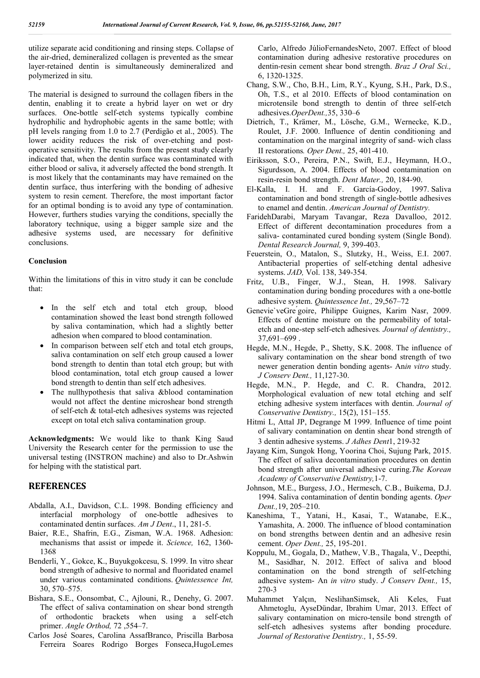utilize separate acid conditioning and rinsing steps. Collapse of the air-dried, demineralized collagen is prevented as the smear layer-retained dentin is simultaneously demineralized and polymerized in situ.

The material is designed to surround the collagen fibers in the dentin, enabling it to create a hybrid layer on wet or dry surfaces. One-bottle self-etch systems typically combine hydrophilic and hydrophobic agents in the same bottle; with pH levels ranging from 1.0 to 2.7 (Perdigão et al., 2005). The lower acidity reduces the risk of over-etching and postoperative sensitivity. The results from the present study clearly indicated that, when the dentin surface was contaminated with either blood or saliva, it adversely affected the bond strength. It is most likely that the contaminants may have remained on the dentin surface, thus interfering with the bonding of adhesive system to resin cement. Therefore, the most important factor for an optimal bonding is to avoid any type of contamination. However, furthers studies varying the conditions, specially the laboratory technique, using a bigger sample size and the adhesive systems used, are necessary for definitive conclusions.

#### **Conclusion**

Within the limitations of this in vitro study it can be conclude that:

- In the self etch and total etch group, blood contamination showed the least bond strength followed by saliva contamination, which had a slightly better adhesion when compared to blood contamination.
- In comparison between self etch and total etch groups, saliva contamination on self etch group caused a lower bond strength to dentin than total etch group; but with blood contamination, total etch group caused a lower bond strength to dentin than self etch adhesives.
- The nullhypothesis that saliva &blood contamination would not affect the dentine microshear bond strength of self-etch & total-etch adhesives systems was rejected except on total etch saliva contamination group.

**Acknowledgments:** We would like to thank King Saud University the Research center for the permission to use the universal testing (INSTRON machine) and also to Dr.Ashwin for helping with the statistical part.

#### **REFERENCES**

- Abdalla, A.I., Davidson, C.L. 1998. Bonding efficiency and interfacial morphology of one-bottle adhesives to contaminated dentin surfaces. *Am J Dent*., 11, 281-5.
- Baier, R.E., Shafrin, E.G., Zisman, W.A. 1968. Adhesion: mechanisms that assist or impede it. *Science,* 162, 1360- 1368
- Benderli, Y., Gokce, K., Buyukgokcesu, S. 1999. In vitro shear bond strength of adhesive to normal and fluoridated enamel under various contaminated conditions. *Quintessence Int,*  30, 570–575.
- Bishara, S.E., Oonsombat, C., Ajlouni, R., Denehy, G. 2007. The effect of saliva contamination on shear bond strength of orthodontic brackets when using a self-etch primer. *Angle Orthod,* 72 ,554–7.
- Carlos José Soares, Carolina AssafBranco, Priscilla Barbosa Ferreira Soares Rodrigo Borges Fonseca,HugoLemes

Carlo, Alfredo JúlioFernandesNeto, 2007. Effect of blood contamination during adhesive restorative procedures on dentin-resin cement shear bond strength. *Braz J Oral Sci.,*  6, 1320-1325.

- Chang, S.W., Cho, B.H., Lim, R.Y., Kyung, S.H., Park, D.S., Oh, T.S., et al 2010. Effects of blood contamination on microtensile bond strength to dentin of three self-etch adhesives.*OperDent.,*35, 330–6
- Dietrich, T., Krämer, M., Lösche, G.M., Wernecke, K.D., Roulet, J.F. 2000. Influence of dentin conditioning and contamination on the marginal integrity of sand- wich class II restorations*. Oper Dent.,* 25, 401-410.
- Eiriksson, S.O., Pereira, P.N., Swift, E.J., Heymann, H.O., Sigurdsson, A. 2004. Effects of blood contamination on resin-resin bond strength. *Dent Mater.,* 20, 184-90.
- El-Kalla, I. H. and F. García-Godoy, 1997. Saliva contamination and bond strength of single-bottle adhesives to enamel and dentin. *American Journal of Dentistry.*
- FaridehDarabi, Maryam Tavangar, Reza Davalloo, 2012. Effect of different decontamination procedures from a saliva- contaminated cured bonding system (Single Bond). *Dental Research Journal,* 9, 399-403.
- Feuerstein, O., Matalon, S., Slutzky, H., Weiss, E.I. 2007. Antibacterial properties of self-etching dental adhesive systems. *JAD,* Vol. 138, 349-354.
- Fritz, U.B., Finger, W.J., Stean, H. 1998. Salivary contamination during bonding procedures with a one-bottle adhesive system. *Quintessence Int.,* 29,567–72
- Genevie`veGre ́goire, Philippe Guignes, Karim Nasr, 2009. Effects of dentine moisture on the permeability of totaletch and one-step self-etch adhesives*. Journal of dentistry.,*  37,691–699 .
- Hegde, M.N., Hegde, P., Shetty, S.K. 2008. The influence of salivary contamination on the shear bond strength of two newer generation dentin bonding agents- An*in vitro* study. *J Conserv Dent.,* 11,127-30.
- Hegde, M.N., P. Hegde, and C. R. Chandra, 2012. Morphological evaluation of new total etching and self etching adhesive system interfaces with dentin. *Journal of Conservative Dentistry.,* 15(2), 151–155.
- Hitmi L, Attal JP, Degrange M 1999. Influence of time point of salivary contamination on dentin shear bond strength of 3 dentin adhesive systems. *J Adhes Dent*1, 219-32
- Jayang Kim, Sungok Hong, Yoorina Choi, Sujung Park, 2015. The effect of saliva decontamination procedures on dentin bond strength after universal adhesive curing.*The Korean Academy of Conservative Dentistry,*1-7.
- Johnson, M.E., Burgess, J.O., Hermesch, C.B., Buikema, D.J. 1994. Saliva contamination of dentin bonding agents. *Oper Dent.,*19, 205–210.
- Kaneshima, T., Yatani, H., Kasai, T., Watanabe, E.K., Yamashita, A. 2000. The influence of blood contamination on bond strengths between dentin and an adhesive resin cement. *Oper Dent.,* 25, 195-201.
- Koppulu, M., Gogala, D., Mathew, V.B., Thagala, V., Deepthi, M., Sasidhar, N. 2012. Effect of saliva and blood contamination on the bond strength of self-etching adhesive system- An *in vitro* study. *J Conserv Dent.,* 15, 270-3
- Muhammet Yalçın, NeslihanSimsek, Ali Keles, Fuat Ahmetoglu, AyseDündar, Ibrahim Umar, 2013. Effect of salivary contamination on micro-tensile bond strength of self-etch adhesives systems after bonding procedure. *Journal of Restorative Dentistry.,* 1, 55-59.